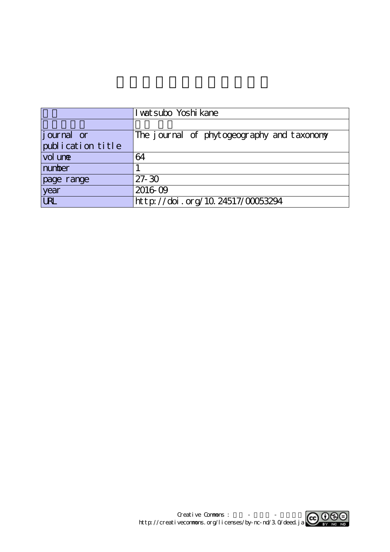|                    | I wat subo Yoshi kane                      |  |  |
|--------------------|--------------------------------------------|--|--|
|                    |                                            |  |  |
| <i>j</i> ournal or | The journal of phytogeography and taxonomy |  |  |
| publication title  |                                            |  |  |
| vol une            | 64                                         |  |  |
| number             |                                            |  |  |
| page range         | $27 - 30$                                  |  |  |
| year               | 2016-09                                    |  |  |
| <b>URL</b>         | http://doi.org/10.24517/00053294           |  |  |

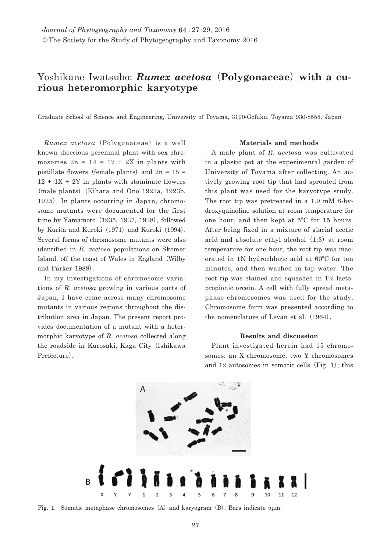# Yoshikane Iwatsubo: *Rumex acetosa***(Polygonaceae) with a curious heteromorphic karyotype**

Graduate School of Science and Engineering, University of Toyama, 3190-Gofuku, Toyama 930-8555, Japan

*Rumex acetosa***(**Polygonaceae**)** is a well known dioecious perennial plant with sex chromosomes  $2n = 14 = 12 + 2X$  in plants with pistillate flowers (female plants) and  $2n = 15$  $12 + 1X + 2Y$  in plants with staminate flowers **(**male plants**)(**Kihara and Ono 1923a, 1923b, 1925**)**. In plants occurring in Japan, chromosome mutants were documented for the first time by Yamamoto **(**1935, 1937, 1938**)**, followed by Kurita and Kuroki **(**1971**)** and Kuroki **(**1994**)**. Several forms of chromosome mutants were also identified in *R*. *acetosa* populations on Skomer Island, off the coast of Wales in England **(**Wilby and Parker 1988**)**.

In my investigations of chromosome variations of *R*. *acetosa* growing in various parts of Japan, I have come across many chromosome mutants in various regions throughout the distribution area in Japan. The present report provides documentation of a mutant with a hetermorphic karyotype of *R*. *acetosa* collected along the roadside in Kurosaki, Kaga City **(**Ishikawa Prefecture**)**.

### **Materials and methods**

A male plant of *R*. *acetosa* was cultivated in a plastic pot at the experimental garden of University of Toyama after collecting. An actively growing root tip that had sprouted from this plant was used for the karyotype study. The root tip was pretreated in a 1.9 mM 8-hydroxyquinoline solution at room temperature for one hour, and then kept at 5ºC for 15 hours. After being fixed in a mixture of glacial acetic acid and absolute ethyl alcohol **(**1:3**)** at room temperature for one hour, the root tip was macerated in 1N hydrochloric acid at 60ºC for ten minutes, and then washed in tap water. The root tip was stained and squashed in 1% lactopropionic orcein. A cell with fully spread metaphase chromosomes was used for the study. Chromosome form was presented according to the nomenclature of Levan et al. **(**1964**)**.

#### **Results and discussion**

Plant investigated herein had 15 chromosomes: an X chromosome, two Y chromosomes and 12 autosomes in somatic cells **(**Fig. 1**)**; this



Fig. 1. Somatic metaphase chromosomes **(**A**)** and karyogram **(**B**)**. Bars indicate 5μm.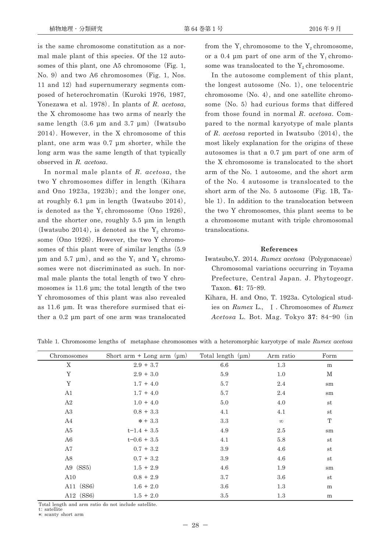is the same chromosome constitution as a normal male plant of this species. Of the 12 autosomes of this plant, one A5 chromosome **(**Fig. 1, No. 9**)** and two A6 chromosomes **(**Fig. 1, Nos. 11 and 12**)** had supernumerary segments composed of heterochromatin **(**Kuroki 1976, 1987, Yonezawa et al. 1978**)**. In plants of *R*. *acetosa*, the X chromosome has two arms of nearly the same length **(**3.6 μm and 3.7 μm**)(**Iwatsubo 2014**)**. However, in the X chromosome of this plant, one arm was 0.7 μm shorter, while the long arm was the same length of that typically observed in *R. acetosa*.

In normal male plants of *R*. *acetosa*, the two Y chromosomes differ in length **(**Kihara and Ono 1923a, 1923b**)**; and the longer one, at roughly 6.1 μm in length **(**Iwatsubo 2014**)**, is denoted as the  $Y_1$  chromosome  $(Ono 1926)$ , and the shorter one, roughly 5.5 μm in length  $\text{(Iwatsubo 2014)}$ , is denoted as the Y<sub>2</sub> chromosome **(**Ono 1926**)**. However, the two Y chromosomes of this plant were of similar lengths **(**5.9 μm and 5.7 μm), and so the  $Y_1$  and  $Y_2$  chromosomes were not discriminated as such. In normal male plants the total length of two Y chromosomes is 11.6 μm; the total length of the two Y chromosomes of this plant was also revealed as 11.6 μm. It was therefore surmised that either a 0.2 μm part of one arm was translocated from the  $Y_1$  chromosome to the  $Y_2$  chromosome, or a 0.4 μm part of one arm of the  $Y_1$  chromosome was translocated to the  $Y_2$  chromosome.

In the autosome complement of this plant, the longest autosome **(**No. 1**)**, one telocentric chromosome **(**No. 4**)**, and one satellite chromosome **(**No. 5**)** had curious forms that differed from those found in normal *R*. *acetosa*. Compared to the normal karyotype of male plants of *R*. *acetosa* reported in Iwatsubo **(**2014**)**, the most likely explanation for the origins of these autosomes is that a 0.7 μm part of one arm of the X chromosome is translocated to the short arm of the No. 1 autosome, and the short arm of the No. 4 autosome is translocated to the short arm of the No. 5 autosome **(**Fig. 1B, Table 1**)**. In addition to the translocation between the two Y chromosomes, this plant seems to be a chromosome mutant with triple chromosomal translocations.

#### **References**

- Iwatsubo,Y. 2014. *Rumex acetosa***(**Polygonaceae**)** Chromosomal variations occurring in Toyama Prefecture, Central Japan. J. Phytogeogr. Taxon. **61**: 75**-**89.
- Kihara, H. and Ono, T. 1923a. Cytological studies on *Rumex* L., **Ⅰ**. Chromosomes of *Rumex Acetosa* L. Bot. Mag. Tokyo **37**: 84**-**90 **(**in

| Chromosomes | Short arm $+$ Long arm $(\mu m)$ | Total length $(\mu m)$ | Arm ratio | Form          |
|-------------|----------------------------------|------------------------|-----------|---------------|
| X           | $2.9 + 3.7$                      | 6.6                    | 1.3       | m             |
| Y           | $2.9 + 3.0$                      | 5.9                    | 1.0       | М             |
| Y           | $1.7 + 4.0$                      | 5.7                    | 2.4       | $\mathrm{sm}$ |
| A1          | $1.7 + 4.0$                      | 5.7                    | 2.4       | sm            |
| A2          | $1.0 + 4.0$                      | 5.0                    | 4.0       | $^{\rm st}$   |
| A3          | $0.8 + 3.3$                      | 4.1                    | 4.1       | $^{\rm st}$   |
| A4          | $* + 3.3$                        | 3.3                    | $\infty$  | T             |
| A5          | $t-1.4 + 3.5$                    | 4.9                    | $2.5\,$   | sm            |
| A6          | $t = 0.6 + 3.5$                  | 4.1                    | 5.8       | $^{\rm st}$   |
| A7          | $0.7 + 3.2$                      | 3.9                    | 4.6       | $^{\rm st}$   |
| A8          | $0.7 + 3.2$                      | 3.9                    | 4.6       | $^{\rm st}$   |
| A9 $(SS5)$  | $1.5 + 2.9$                      | 4.6                    | 1.9       | sm            |
| A10         | $0.8 + 2.9$                      | 3.7                    | 3.6       | $^{\rm st}$   |
| A11 (SS6)   | $1.6 + 2.0$                      | 3.6                    | 1.3       | m             |
| A12 (SS6)   | $1.5 + 2.0$                      | $3.5\,$                | 1.3       | m             |

Table 1. Chromosome lengths of metaphase chromosomes with a heteromorphic karyotype of male *Rumex acetosa*

Total length and arm ratio do not include satellite.

t: satellite

**\***: scanty short arm